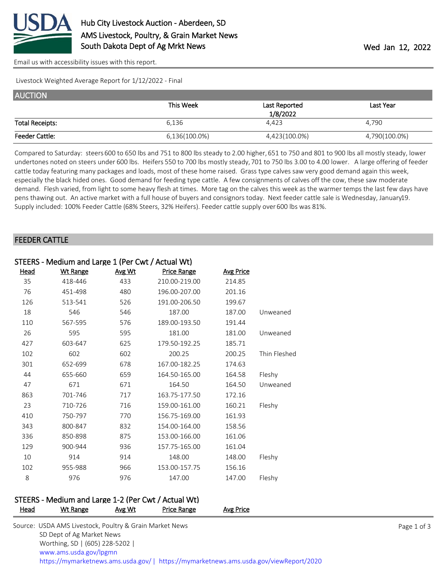

[Email us with accessibility issues with this report.](mailto:mars@ams.usda.gov?subject=508%20issue)

Livestock Weighted Average Report for 1/12/2022 - Final

| <b>AUCTION</b>         |               |               |               |
|------------------------|---------------|---------------|---------------|
|                        | This Week     | Last Reported | Last Year     |
|                        |               | 1/8/2022      |               |
| <b>Total Receipts:</b> | 6,136         | 4.423         | 4,790         |
| <b>Feeder Cattle:</b>  | 6,136(100.0%) | 4,423(100.0%) | 4,790(100.0%) |

Compared to Saturday: steers 600 to 650 lbs and 751 to 800 lbs steady to 2.00 higher, 651 to 750 and 801 to 900 lbs all mostly steady, lower undertones noted on steers under 600 lbs. Heifers 550 to 700 lbs mostly steady, 701 to 750 lbs 3.00 to 4.00 lower. A large offering of feeder cattle today featuring many packages and loads, most of these home raised. Grass type calves saw very good demand again this week, especially the black hided ones. Good demand for feeding type cattle. A few consignments of calves off the cow, these saw moderate demand. Flesh varied, from light to some heavy flesh at times. More tag on the calves this week as the warmer temps the last few days have pens thawing out. An active market with a full house of buyers and consignors today. Next feeder cattle sale is Wednesday, January19. Supply included: 100% Feeder Cattle (68% Steers, 32% Heifers). Feeder cattle supply over 600 lbs was 81%.

#### FEEDER CATTLE

|      | STEERS - Medium and Large 1 (Per Cwt / Actual Wt) |        |               |                  |              |
|------|---------------------------------------------------|--------|---------------|------------------|--------------|
| Head | <b>Wt Range</b>                                   | Avg Wt | Price Range   | <b>Avg Price</b> |              |
| 35   | 418-446                                           | 433    | 210.00-219.00 | 214.85           |              |
| 76   | 451-498                                           | 480    | 196.00-207.00 | 201.16           |              |
| 126  | 513-541                                           | 526    | 191.00-206.50 | 199.67           |              |
| 18   | 546                                               | 546    | 187.00        | 187.00           | Unweaned     |
| 110  | 567-595                                           | 576    | 189.00-193.50 | 191.44           |              |
| 26   | 595                                               | 595    | 181.00        | 181.00           | Unweaned     |
| 427  | 603-647                                           | 625    | 179.50-192.25 | 185.71           |              |
| 102  | 602                                               | 602    | 200.25        | 200.25           | Thin Fleshed |
| 301  | 652-699                                           | 678    | 167.00-182.25 | 174.63           |              |
| 44   | 655-660                                           | 659    | 164.50-165.00 | 164.58           | Fleshy       |
| 47   | 671                                               | 671    | 164.50        | 164.50           | Unweaned     |
| 863  | 701-746                                           | 717    | 163.75-177.50 | 172.16           |              |
| 23   | 710-726                                           | 716    | 159.00-161.00 | 160.21           | Fleshy       |
| 410  | 750-797                                           | 770    | 156.75-169.00 | 161.93           |              |
| 343  | 800-847                                           | 832    | 154.00-164.00 | 158.56           |              |
| 336  | 850-898                                           | 875    | 153.00-166.00 | 161.06           |              |
| 129  | 900-944                                           | 936    | 157.75-165.00 | 161.04           |              |
| 10   | 914                                               | 914    | 148.00        | 148.00           | Fleshy       |
| 102  | 955-988                                           | 966    | 153.00-157.75 | 156.16           |              |
| 8    | 976                                               | 976    | 147.00        | 147.00           | Fleshy       |

#### STEERS - Medium and Large 1-2 (Per Cwt / Actual Wt)

| <b>Head</b> | Wt Range                                                | Avg Wt | Price Range | Avg Price |             |
|-------------|---------------------------------------------------------|--------|-------------|-----------|-------------|
|             | Source: USDA AMS Livestock, Poultry & Grain Market News |        |             |           | Page 1 of 3 |
|             | SD Dept of Ag Market News                               |        |             |           |             |
|             | Worthing, SD   (605) 228-5202                           |        |             |           |             |
|             | www.ams.usda.gov/lpgmn                                  |        |             |           |             |

<https://mymarketnews.ams.usda.gov/> [|](https://www.ams.usda.gov/market-news) <https://mymarketnews.ams.usda.gov/viewReport/2020>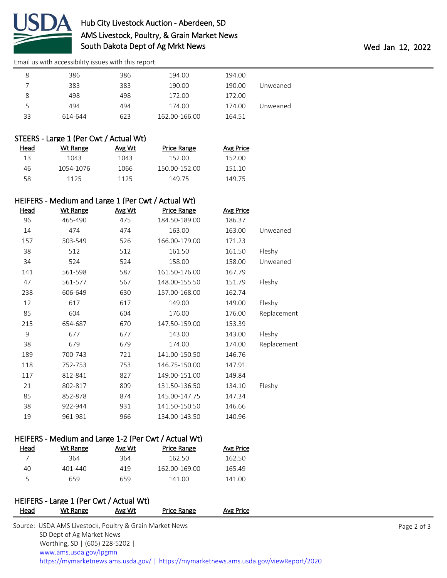

# Hub City Livestock Auction - Aberdeen, SD AMS Livestock, Poultry, & Grain Market News South Dakota Dept of Ag Mrkt News **Wed Jan 12, 2022**

[Email us with accessibility issues with this report.](mailto:mars@ams.usda.gov?subject=508%20issue)

| 8  | 386     | 386 | 194.00        | 194.00 |          |
|----|---------|-----|---------------|--------|----------|
|    | 383     | 383 | 190.00        | 190.00 | Unweaned |
| 8  | 498     | 498 | 172.00        | 172.00 |          |
| 5  | 494     | 494 | 174.00        | 174.00 | Unweaned |
| 33 | 614-644 | 623 | 162.00-166.00 | 164.51 |          |

### STEERS - Large 1 (Per Cwt / Actual Wt)

| Head | Wt Range  | Avg Wt | Price Range   | Avg Price |
|------|-----------|--------|---------------|-----------|
| 13   | 1043      | 1043   | 152.00        | 152.00    |
| 46.  | 1054-1076 | 1066   | 150.00-152.00 | 151.10    |
| 58.  | 1125      | 1125   | 149 75        | 149 75    |

#### HEIFERS - Medium and Large 1 (Per Cwt / Actual Wt)

| <u>Head</u> | <b>Wt Range</b> | Avg Wt | <b>Price Range</b> | <b>Avg Price</b> |             |
|-------------|-----------------|--------|--------------------|------------------|-------------|
| 96          | 465-490         | 475    | 184.50-189.00      | 186.37           |             |
| 14          | 474             | 474    | 163.00             | 163.00           | Unweaned    |
| 157         | 503-549         | 526    | 166.00-179.00      | 171.23           |             |
| 38          | 512             | 512    | 161.50             | 161.50           | Fleshy      |
| 34          | 524             | 524    | 158.00             | 158.00           | Unweaned    |
| 141         | 561-598         | 587    | 161.50-176.00      | 167.79           |             |
| 47          | 561-577         | 567    | 148.00-155.50      | 151.79           | Fleshy      |
| 238         | 606-649         | 630    | 157.00-168.00      | 162.74           |             |
| 12          | 617             | 617    | 149.00             | 149.00           | Fleshy      |
| 85          | 604             | 604    | 176.00             | 176.00           | Replacement |
| 215         | 654-687         | 670    | 147.50-159.00      | 153.39           |             |
| 9           | 677             | 677    | 143.00             | 143.00           | Fleshy      |
| 38          | 679             | 679    | 174.00             | 174.00           | Replacement |
| 189         | 700-743         | 721    | 141.00-150.50      | 146.76           |             |
| 118         | 752-753         | 753    | 146.75-150.00      | 147.91           |             |
| 117         | 812-841         | 827    | 149.00-151.00      | 149.84           |             |
| 21          | 802-817         | 809    | 131.50-136.50      | 134.10           | Fleshy      |
| 85          | 852-878         | 874    | 145.00-147.75      | 147.34           |             |
| 38          | 922-944         | 931    | 141.50-150.50      | 146.66           |             |
| 19          | 961-981         | 966    | 134.00-143.50      | 140.96           |             |

## HEIFERS - Medium and Large 1-2 (Per Cwt / Actual Wt)

| Head | Wt Range | Avg Wt | Price Range   | Avg Price |
|------|----------|--------|---------------|-----------|
|      | 364      | 364    | 162.50        | 162.50    |
| 40   | 401-440  | 419    | 162.00-169.00 | 165.49    |
| ς.   | 659      | 659    | 141.00        | 141.00    |
|      |          |        |               |           |

# HEIFERS - Large 1 (Per Cwt / Actual Wt)

| <b>Head</b> | Wt Range                                                | Avg Wt | Price Range | Avg Price                                                                              |             |
|-------------|---------------------------------------------------------|--------|-------------|----------------------------------------------------------------------------------------|-------------|
|             | Source: USDA AMS Livestock, Poultry & Grain Market News |        |             |                                                                                        | Page 2 of 3 |
|             | SD Dept of Ag Market News                               |        |             |                                                                                        |             |
|             | Worthing, SD   (605) 228-5202                           |        |             |                                                                                        |             |
|             | www.ams.usda.gov/lpgmn                                  |        |             |                                                                                        |             |
|             |                                                         |        |             | https://mymarketnews.ams.usda.gov/   https://mymarketnews.ams.usda.gov/viewReport/2020 |             |